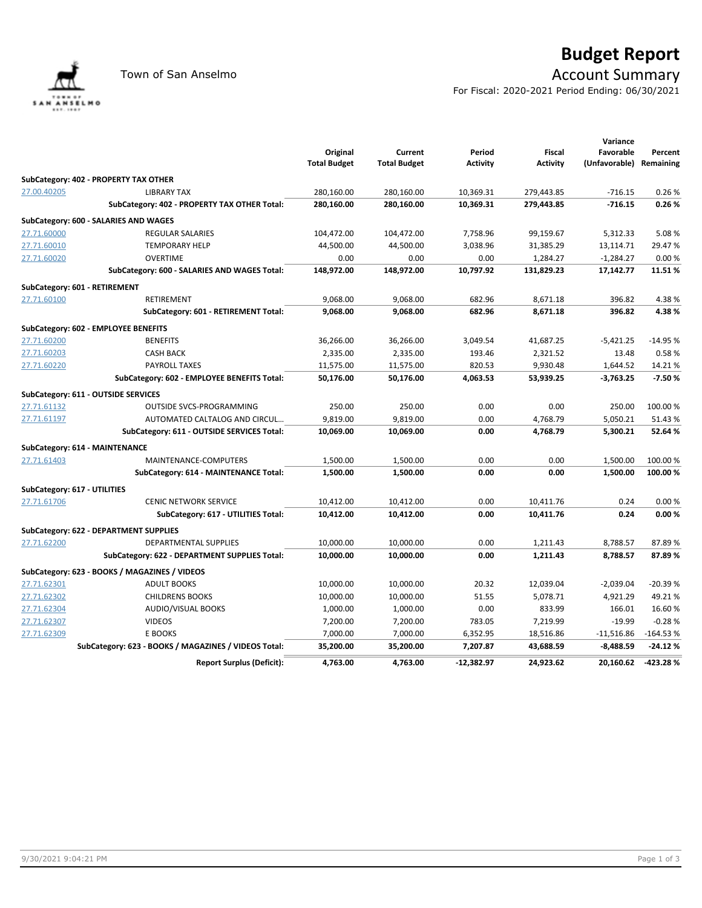

## **Budget Report**

## Town of San Anselmo **Account Summary**

For Fiscal: 2020-2021 Period Ending: 06/30/2021

|                              |                                                      | Original<br><b>Total Budget</b> | Current<br><b>Total Budget</b> | Period<br><b>Activity</b> | <b>Fiscal</b><br><b>Activity</b> | Variance<br>Favorable<br>(Unfavorable) Remaining | Percent    |
|------------------------------|------------------------------------------------------|---------------------------------|--------------------------------|---------------------------|----------------------------------|--------------------------------------------------|------------|
|                              | SubCategory: 402 - PROPERTY TAX OTHER                |                                 |                                |                           |                                  |                                                  |            |
| 27.00.40205                  | <b>LIBRARY TAX</b>                                   | 280,160.00                      | 280,160.00                     | 10,369.31                 | 279,443.85                       | $-716.15$                                        | 0.26%      |
|                              | SubCategory: 402 - PROPERTY TAX OTHER Total:         | 280,160.00                      | 280,160.00                     | 10,369.31                 | 279,443.85                       | $-716.15$                                        | 0.26%      |
|                              | SubCategory: 600 - SALARIES AND WAGES                |                                 |                                |                           |                                  |                                                  |            |
| 27.71.60000                  | <b>REGULAR SALARIES</b>                              | 104,472.00                      | 104,472.00                     | 7,758.96                  | 99,159.67                        | 5,312.33                                         | 5.08%      |
| 27.71.60010                  | <b>TEMPORARY HELP</b>                                | 44,500.00                       | 44,500.00                      | 3,038.96                  | 31,385.29                        | 13,114.71                                        | 29.47%     |
| 27.71.60020                  | <b>OVERTIME</b>                                      | 0.00                            | 0.00                           | 0.00                      | 1,284.27                         | $-1,284.27$                                      | 0.00%      |
|                              | SubCategory: 600 - SALARIES AND WAGES Total:         | 148,972.00                      | 148,972.00                     | 10,797.92                 | 131,829.23                       | 17,142.77                                        | 11.51%     |
|                              | SubCategory: 601 - RETIREMENT                        |                                 |                                |                           |                                  |                                                  |            |
| 27.71.60100                  | <b>RETIREMENT</b>                                    | 9,068.00                        | 9,068.00                       | 682.96                    | 8,671.18                         | 396.82                                           | 4.38%      |
|                              | SubCategory: 601 - RETIREMENT Total:                 | 9,068.00                        | 9,068.00                       | 682.96                    | 8,671.18                         | 396.82                                           | 4.38%      |
|                              | SubCategory: 602 - EMPLOYEE BENEFITS                 |                                 |                                |                           |                                  |                                                  |            |
| 27.71.60200                  | <b>BENEFITS</b>                                      | 36,266.00                       | 36,266.00                      | 3,049.54                  | 41,687.25                        | $-5,421.25$                                      | $-14.95%$  |
| 27.71.60203                  | <b>CASH BACK</b>                                     | 2,335.00                        | 2,335.00                       | 193.46                    | 2,321.52                         | 13.48                                            | 0.58%      |
| 27.71.60220                  | <b>PAYROLL TAXES</b>                                 | 11,575.00                       | 11,575.00                      | 820.53                    | 9,930.48                         | 1,644.52                                         | 14.21%     |
|                              | SubCategory: 602 - EMPLOYEE BENEFITS Total:          | 50,176.00                       | 50,176.00                      | 4,063.53                  | 53,939.25                        | $-3,763.25$                                      | $-7.50%$   |
|                              | SubCategory: 611 - OUTSIDE SERVICES                  |                                 |                                |                           |                                  |                                                  |            |
| 27.71.61132                  | <b>OUTSIDE SVCS-PROGRAMMING</b>                      | 250.00                          | 250.00                         | 0.00                      | 0.00                             | 250.00                                           | 100.00%    |
| 27.71.61197                  | AUTOMATED CALTALOG AND CIRCUL                        | 9,819.00                        | 9,819.00                       | 0.00                      | 4,768.79                         | 5,050.21                                         | 51.43%     |
|                              | SubCategory: 611 - OUTSIDE SERVICES Total:           | 10,069.00                       | 10,069.00                      | 0.00                      | 4,768.79                         | 5,300.21                                         | 52.64%     |
|                              | SubCategory: 614 - MAINTENANCE                       |                                 |                                |                           |                                  |                                                  |            |
| 27.71.61403                  | MAINTENANCE-COMPUTERS                                | 1,500.00                        | 1,500.00                       | 0.00                      | 0.00                             | 1.500.00                                         | 100.00%    |
|                              | SubCategory: 614 - MAINTENANCE Total:                | 1,500.00                        | 1,500.00                       | 0.00                      | 0.00                             | 1,500.00                                         | 100.00%    |
| SubCategory: 617 - UTILITIES |                                                      |                                 |                                |                           |                                  |                                                  |            |
| 27.71.61706                  | <b>CENIC NETWORK SERVICE</b>                         | 10,412.00                       | 10,412.00                      | 0.00                      | 10,411.76                        | 0.24                                             | 0.00%      |
|                              | SubCategory: 617 - UTILITIES Total:                  | 10,412.00                       | 10,412.00                      | 0.00                      | 10,411.76                        | 0.24                                             | 0.00%      |
|                              | SubCategory: 622 - DEPARTMENT SUPPLIES               |                                 |                                |                           |                                  |                                                  |            |
| 27.71.62200                  | <b>DEPARTMENTAL SUPPLIES</b>                         | 10,000.00                       | 10,000.00                      | 0.00                      | 1,211.43                         | 8,788.57                                         | 87.89%     |
|                              | SubCategory: 622 - DEPARTMENT SUPPLIES Total:        | 10,000.00                       | 10,000.00                      | 0.00                      | 1,211.43                         | 8,788.57                                         | 87.89%     |
|                              | SubCategory: 623 - BOOKS / MAGAZINES / VIDEOS        |                                 |                                |                           |                                  |                                                  |            |
| 27.71.62301                  | <b>ADULT BOOKS</b>                                   | 10,000.00                       | 10,000.00                      | 20.32                     | 12,039.04                        | $-2.039.04$                                      | $-20.39%$  |
| 27.71.62302                  | <b>CHILDRENS BOOKS</b>                               | 10,000.00                       | 10,000.00                      | 51.55                     | 5,078.71                         | 4,921.29                                         | 49.21%     |
| 27.71.62304                  | <b>AUDIO/VISUAL BOOKS</b>                            | 1,000.00                        | 1,000.00                       | 0.00                      | 833.99                           | 166.01                                           | 16.60%     |
| 27.71.62307                  | <b>VIDEOS</b>                                        | 7,200.00                        | 7,200.00                       | 783.05                    | 7,219.99                         | $-19.99$                                         | $-0.28%$   |
| 27.71.62309                  | E BOOKS                                              | 7,000.00                        | 7,000.00                       | 6,352.95                  | 18,516.86                        | $-11,516.86$                                     | $-164.53%$ |
|                              | SubCategory: 623 - BOOKS / MAGAZINES / VIDEOS Total: | 35,200.00                       | 35,200.00                      | 7,207.87                  | 43,688.59                        | $-8,488.59$                                      | $-24.12%$  |
|                              | <b>Report Surplus (Deficit):</b>                     | 4,763.00                        | 4.763.00                       | $-12.382.97$              | 24,923.62                        | 20,160.62                                        | $-423.28%$ |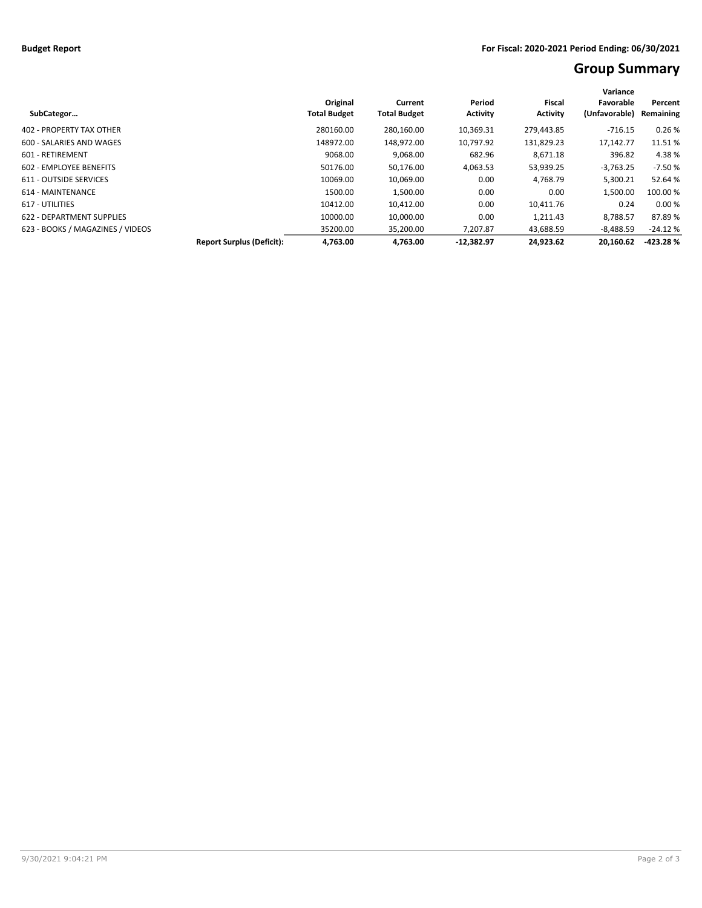## **Group Summary**

|                                  |                                  |                     |                     |                 |                 | Variance      |            |  |
|----------------------------------|----------------------------------|---------------------|---------------------|-----------------|-----------------|---------------|------------|--|
|                                  |                                  | Original            | Current             | Period          | Fiscal          | Favorable     | Percent    |  |
| SubCategor                       |                                  | <b>Total Budget</b> | <b>Total Budget</b> | <b>Activity</b> | <b>Activity</b> | (Unfavorable) | Remaining  |  |
| 402 - PROPERTY TAX OTHER         |                                  | 280160.00           | 280.160.00          | 10.369.31       | 279.443.85      | $-716.15$     | 0.26%      |  |
| 600 - SALARIES AND WAGES         |                                  | 148972.00           | 148,972.00          | 10,797.92       | 131,829.23      | 17,142.77     | 11.51%     |  |
| 601 - RETIREMENT                 |                                  | 9068.00             | 9,068.00            | 682.96          | 8,671.18        | 396.82        | 4.38%      |  |
| 602 - EMPLOYEE BENEFITS          |                                  | 50176.00            | 50,176.00           | 4,063.53        | 53,939.25       | $-3,763.25$   | $-7.50%$   |  |
| 611 - OUTSIDE SERVICES           |                                  | 10069.00            | 10.069.00           | 0.00            | 4,768.79        | 5,300.21      | 52.64 %    |  |
| 614 - MAINTENANCE                |                                  | 1500.00             | 1,500.00            | 0.00            | 0.00            | 1,500.00      | 100.00 %   |  |
| 617 - UTILITIES                  |                                  | 10412.00            | 10,412.00           | 0.00            | 10,411.76       | 0.24          | 0.00%      |  |
| 622 - DEPARTMENT SUPPLIES        |                                  | 10000.00            | 10.000.00           | 0.00            | 1.211.43        | 8.788.57      | 87.89%     |  |
| 623 - BOOKS / MAGAZINES / VIDEOS |                                  | 35200.00            | 35.200.00           | 7.207.87        | 43.688.59       | $-8.488.59$   | $-24.12%$  |  |
|                                  | <b>Report Surplus (Deficit):</b> | 4.763.00            | 4.763.00            | $-12.382.97$    | 24.923.62       | 20.160.62     | $-423.28%$ |  |
|                                  |                                  |                     |                     |                 |                 |               |            |  |